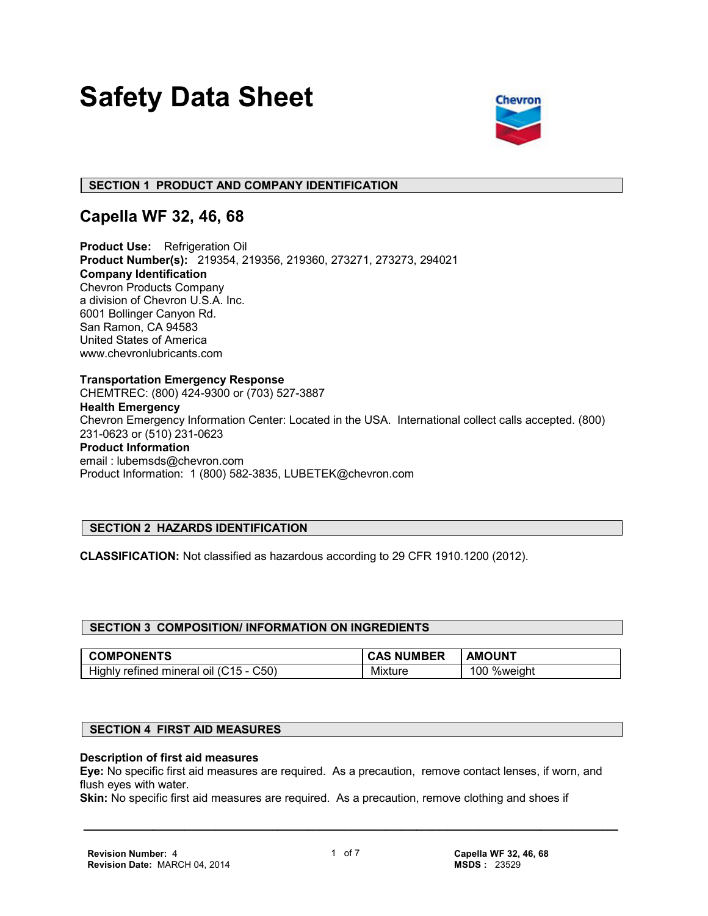# **Safety Data Sheet**



#### **SECTION 1 PRODUCT AND COMPANY IDENTIFICATION**

## **Capella WF 32, 46, 68**

**Product Use:** Refrigeration Oil **Product Number(s):** 219354, 219356, 219360, 273271, 273273, 294021 **Company Identification** Chevron Products Company a division of Chevron U.S.A. Inc. 6001 Bollinger Canyon Rd. San Ramon, CA 94583 United States of America www.chevronlubricants.com

**Transportation Emergency Response** CHEMTREC: (800) 424-9300 or (703) 527-3887 **Health Emergency** Chevron Emergency Information Center: Located in the USA. International collect calls accepted. (800) 231-0623 or (510) 231-0623 **Product Information** email : lubemsds@chevron.com Product Information: 1 (800) 582-3835, LUBETEK@chevron.com

### **SECTION 2 HAZARDS IDENTIFICATION**

**CLASSIFICATION:** Not classified as hazardous according to 29 CFR 1910.1200 (2012).

#### **SECTION 3 COMPOSITION/ INFORMATION ON INGREDIENTS**

| <b>COMPONENTS</b>                                                | <b>NUMBER</b><br><b>CAS</b> | <b>AMOUNT</b> |
|------------------------------------------------------------------|-----------------------------|---------------|
| <br>C50<br>$1.16$ .<br>Highly<br>refined<br>mineral<br>ΟIΙ<br>71 | $\cdots$<br>Mixture         | %weight<br>00 |

#### **SECTION 4 FIRST AID MEASURES**

#### **Description of first aid measures**

**Eye:** No specific first aid measures are required. As a precaution, remove contact lenses, if worn, and flush eyes with water.

**Skin:** No specific first aid measures are required. As a precaution, remove clothing and shoes if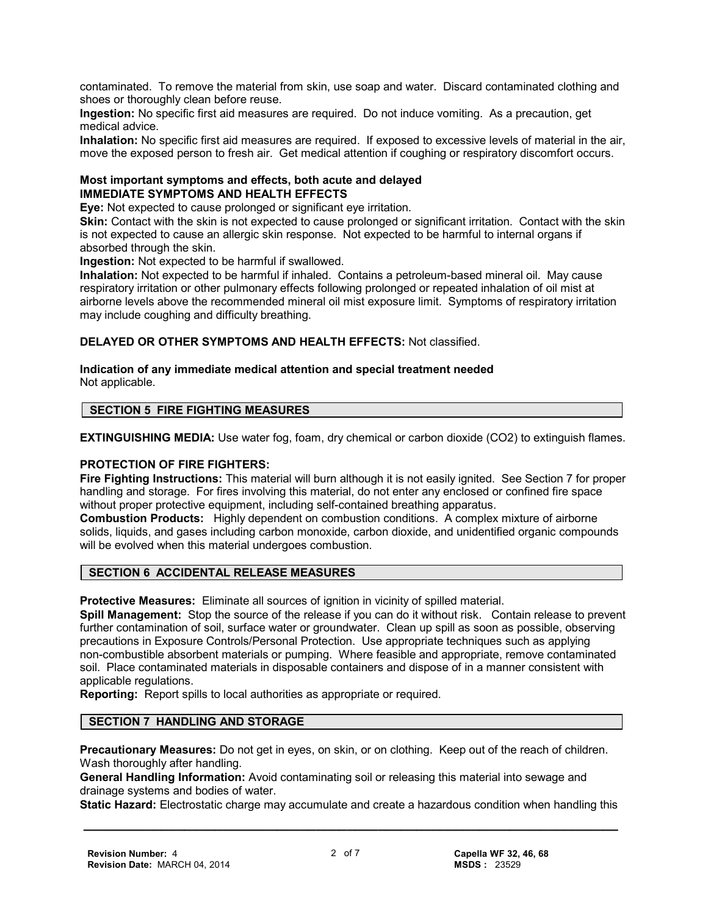contaminated. To remove the material from skin, use soap and water. Discard contaminated clothing and shoes or thoroughly clean before reuse.

**Ingestion:** No specific first aid measures are required. Do not induce vomiting. As a precaution, get medical advice.

**Inhalation:** No specific first aid measures are required. If exposed to excessive levels of material in the air, move the exposed person to fresh air. Get medical attention if coughing or respiratory discomfort occurs.

#### **Most important symptoms and effects, both acute and delayed IMMEDIATE SYMPTOMS AND HEALTH EFFECTS**

**Eye:** Not expected to cause prolonged or significant eye irritation.

**Skin:** Contact with the skin is not expected to cause prolonged or significant irritation. Contact with the skin is not expected to cause an allergic skin response. Not expected to be harmful to internal organs if absorbed through the skin.

**Ingestion:** Not expected to be harmful if swallowed.

**Inhalation:** Not expected to be harmful if inhaled. Contains a petroleum-based mineral oil. May cause respiratory irritation or other pulmonary effects following prolonged or repeated inhalation of oil mist at airborne levels above the recommended mineral oil mist exposure limit. Symptoms of respiratory irritation may include coughing and difficulty breathing.

**DELAYED OR OTHER SYMPTOMS AND HEALTH EFFECTS:** Not classified.

#### **Indication of any immediate medical attention and special treatment needed** Not applicable.

#### **SECTION 5 FIRE FIGHTING MEASURES**

**EXTINGUISHING MEDIA:** Use water fog, foam, dry chemical or carbon dioxide (CO2) to extinguish flames.

#### **PROTECTION OF FIRE FIGHTERS:**

**Fire Fighting Instructions:** This material will burn although it is not easily ignited. See Section 7 for proper handling and storage. For fires involving this material, do not enter any enclosed or confined fire space without proper protective equipment, including self-contained breathing apparatus.

**Combustion Products:** Highly dependent on combustion conditions. A complex mixture of airborne solids, liquids, and gases including carbon monoxide, carbon dioxide, and unidentified organic compounds will be evolved when this material undergoes combustion.

#### **SECTION 6 ACCIDENTAL RELEASE MEASURES**

**Protective Measures:** Eliminate all sources of ignition in vicinity of spilled material.

**Spill Management:** Stop the source of the release if you can do it without risk. Contain release to prevent further contamination of soil, surface water or groundwater. Clean up spill as soon as possible, observing precautions in Exposure Controls/Personal Protection. Use appropriate techniques such as applying non-combustible absorbent materials or pumping. Where feasible and appropriate, remove contaminated soil. Place contaminated materials in disposable containers and dispose of in a manner consistent with applicable regulations.

**Reporting:** Report spills to local authorities as appropriate or required.

#### **SECTION 7 HANDLING AND STORAGE**

**Precautionary Measures:** Do not get in eyes, on skin, or on clothing. Keep out of the reach of children. Wash thoroughly after handling.

**General Handling Information:** Avoid contaminating soil or releasing this material into sewage and drainage systems and bodies of water.

 **\_\_\_\_\_\_\_\_\_\_\_\_\_\_\_\_\_\_\_\_\_\_\_\_\_\_\_\_\_\_\_\_\_\_\_\_\_\_\_\_\_\_\_\_\_\_\_\_\_\_\_\_\_\_\_\_\_\_\_\_\_\_\_\_\_\_\_\_\_ Static Hazard:** Electrostatic charge may accumulate and create a hazardous condition when handling this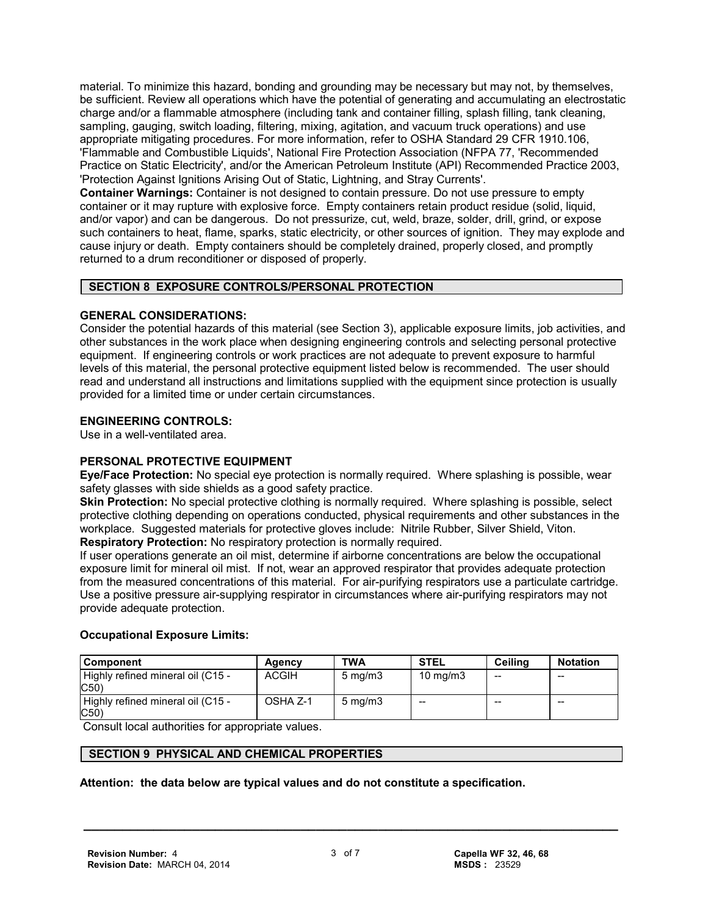material. To minimize this hazard, bonding and grounding may be necessary but may not, by themselves, be sufficient. Review all operations which have the potential of generating and accumulating an electrostatic charge and/or a flammable atmosphere (including tank and container filling, splash filling, tank cleaning, sampling, gauging, switch loading, filtering, mixing, agitation, and vacuum truck operations) and use appropriate mitigating procedures. For more information, refer to OSHA Standard 29 CFR 1910.106, 'Flammable and Combustible Liquids', National Fire Protection Association (NFPA 77, 'Recommended Practice on Static Electricity', and/or the American Petroleum Institute (API) Recommended Practice 2003, 'Protection Against Ignitions Arising Out of Static, Lightning, and Stray Currents'.

**Container Warnings:** Container is not designed to contain pressure. Do not use pressure to empty container or it may rupture with explosive force. Empty containers retain product residue (solid, liquid, and/or vapor) and can be dangerous. Do not pressurize, cut, weld, braze, solder, drill, grind, or expose such containers to heat, flame, sparks, static electricity, or other sources of ignition. They may explode and cause injury or death. Empty containers should be completely drained, properly closed, and promptly returned to a drum reconditioner or disposed of properly.

#### **SECTION 8 EXPOSURE CONTROLS/PERSONAL PROTECTION**

#### **GENERAL CONSIDERATIONS:**

Consider the potential hazards of this material (see Section 3), applicable exposure limits, job activities, and other substances in the work place when designing engineering controls and selecting personal protective equipment. If engineering controls or work practices are not adequate to prevent exposure to harmful levels of this material, the personal protective equipment listed below is recommended. The user should read and understand all instructions and limitations supplied with the equipment since protection is usually provided for a limited time or under certain circumstances.

#### **ENGINEERING CONTROLS:**

Use in a well-ventilated area.

#### **PERSONAL PROTECTIVE EQUIPMENT**

**Eye/Face Protection:** No special eye protection is normally required. Where splashing is possible, wear safety glasses with side shields as a good safety practice.

**Skin Protection:** No special protective clothing is normally required. Where splashing is possible, select protective clothing depending on operations conducted, physical requirements and other substances in the workplace. Suggested materials for protective gloves include: Nitrile Rubber, Silver Shield, Viton. **Respiratory Protection:** No respiratory protection is normally required.

If user operations generate an oil mist, determine if airborne concentrations are below the occupational exposure limit for mineral oil mist. If not, wear an approved respirator that provides adequate protection from the measured concentrations of this material. For air-purifying respirators use a particulate cartridge. Use a positive pressure air-supplying respirator in circumstances where air-purifying respirators may not provide adequate protection.

#### **Occupational Exposure Limits:**

| <b>Component</b>                           | Agency       | TWA                | <b>STEL</b>       | Ceilina | <b>Notation</b> |
|--------------------------------------------|--------------|--------------------|-------------------|---------|-----------------|
| Highly refined mineral oil (C15 -<br>C50)  | <b>ACGIH</b> | $5 \text{ mg/m}$   | $10 \text{ mg/m}$ | $- -$   | $- -$           |
| Highly refined mineral oil (C15 -<br>(C50) | OSHA Z-1     | $5 \text{ ma/m}$ 3 | --                | $- -$   | $- -$           |

Consult local authorities for appropriate values.

#### **SECTION 9 PHYSICAL AND CHEMICAL PROPERTIES**

#### **Attention: the data below are typical values and do not constitute a specification.**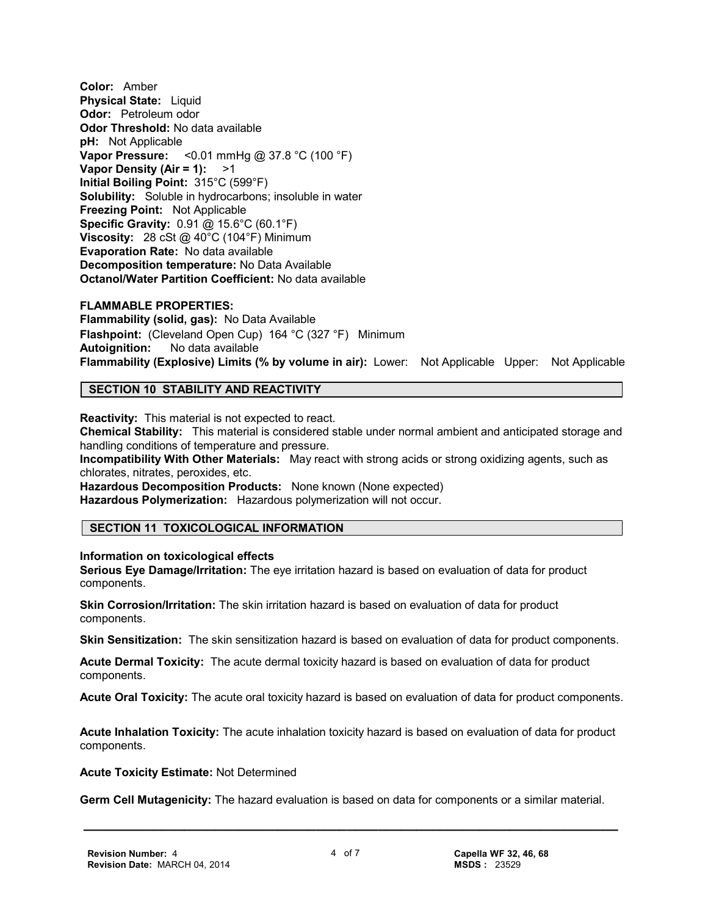**Color:** Amber **Physical State:** Liquid **Odor:** Petroleum odor **Odor Threshold:** No data available **pH:** Not Applicable **Vapor Pressure:** <0.01 mmHg @ 37.8 °C (100 °F) **Vapor Density (Air = 1):** >1 **Initial Boiling Point:** 315°C (599°F) **Solubility:** Soluble in hydrocarbons; insoluble in water **Freezing Point:** Not Applicable **Specific Gravity:** 0.91 @ 15.6°C (60.1°F) **Viscosity:** 28 cSt @ 40°C (104°F) Minimum **Evaporation Rate:** No data available **Decomposition temperature:** No Data Available **Octanol/Water Partition Coefficient:** No data available

#### **FLAMMABLE PROPERTIES:**

**Flammability (solid, gas):** No Data Available **Flashpoint:** (Cleveland Open Cup) 164 °C (327 °F) Minimum **Autoignition:** No data available **Flammability (Explosive) Limits (% by volume in air):** Lower: Not Applicable Upper: Not Applicable

#### **SECTION 10 STABILITY AND REACTIVITY**

**Reactivity:** This material is not expected to react. **Chemical Stability:** This material is considered stable under normal ambient and anticipated storage and handling conditions of temperature and pressure. **Incompatibility With Other Materials:** May react with strong acids or strong oxidizing agents, such as chlorates, nitrates, peroxides, etc. **Hazardous Decomposition Products:** None known (None expected)

**Hazardous Polymerization:** Hazardous polymerization will not occur.

#### **SECTION 11 TOXICOLOGICAL INFORMATION**

#### **Information on toxicological effects**

**Serious Eye Damage/Irritation:** The eye irritation hazard is based on evaluation of data for product components.

**Skin Corrosion/Irritation:** The skin irritation hazard is based on evaluation of data for product components.

**Skin Sensitization:** The skin sensitization hazard is based on evaluation of data for product components.

**Acute Dermal Toxicity:** The acute dermal toxicity hazard is based on evaluation of data for product components.

**Acute Oral Toxicity:** The acute oral toxicity hazard is based on evaluation of data for product components.

**Acute Inhalation Toxicity:** The acute inhalation toxicity hazard is based on evaluation of data for product components.

**Acute Toxicity Estimate:** Not Determined

**Germ Cell Mutagenicity:** The hazard evaluation is based on data for components or a similar material.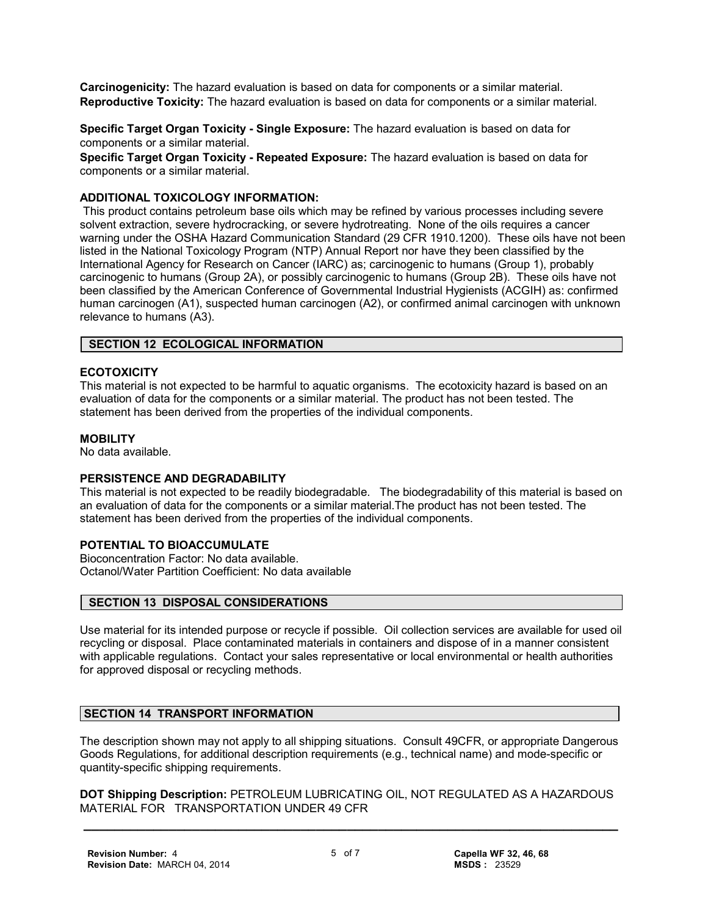**Carcinogenicity:** The hazard evaluation is based on data for components or a similar material. **Reproductive Toxicity:** The hazard evaluation is based on data for components or a similar material.

**Specific Target Organ Toxicity - Single Exposure:** The hazard evaluation is based on data for components or a similar material.

**Specific Target Organ Toxicity - Repeated Exposure:** The hazard evaluation is based on data for components or a similar material.

#### **ADDITIONAL TOXICOLOGY INFORMATION:**

 This product contains petroleum base oils which may be refined by various processes including severe solvent extraction, severe hydrocracking, or severe hydrotreating. None of the oils requires a cancer warning under the OSHA Hazard Communication Standard (29 CFR 1910.1200). These oils have not been listed in the National Toxicology Program (NTP) Annual Report nor have they been classified by the International Agency for Research on Cancer (IARC) as; carcinogenic to humans (Group 1), probably carcinogenic to humans (Group 2A), or possibly carcinogenic to humans (Group 2B). These oils have not been classified by the American Conference of Governmental Industrial Hygienists (ACGIH) as: confirmed human carcinogen (A1), suspected human carcinogen (A2), or confirmed animal carcinogen with unknown relevance to humans (A3).

#### **SECTION 12 ECOLOGICAL INFORMATION**

#### **ECOTOXICITY**

This material is not expected to be harmful to aquatic organisms. The ecotoxicity hazard is based on an evaluation of data for the components or a similar material. The product has not been tested. The statement has been derived from the properties of the individual components.

#### **MOBILITY**

No data available.

#### **PERSISTENCE AND DEGRADABILITY**

This material is not expected to be readily biodegradable. The biodegradability of this material is based on an evaluation of data for the components or a similar material.The product has not been tested. The statement has been derived from the properties of the individual components.

#### **POTENTIAL TO BIOACCUMULATE**

Bioconcentration Factor: No data available. Octanol/Water Partition Coefficient: No data available

#### **SECTION 13 DISPOSAL CONSIDERATIONS**

Use material for its intended purpose or recycle if possible. Oil collection services are available for used oil recycling or disposal. Place contaminated materials in containers and dispose of in a manner consistent with applicable regulations. Contact your sales representative or local environmental or health authorities for approved disposal or recycling methods.

#### **SECTION 14 TRANSPORT INFORMATION**

The description shown may not apply to all shipping situations. Consult 49CFR, or appropriate Dangerous Goods Regulations, for additional description requirements (e.g., technical name) and mode-specific or quantity-specific shipping requirements.

 **\_\_\_\_\_\_\_\_\_\_\_\_\_\_\_\_\_\_\_\_\_\_\_\_\_\_\_\_\_\_\_\_\_\_\_\_\_\_\_\_\_\_\_\_\_\_\_\_\_\_\_\_\_\_\_\_\_\_\_\_\_\_\_\_\_\_\_\_\_ DOT Shipping Description:** PETROLEUM LUBRICATING OIL, NOT REGULATED AS A HAZARDOUS MATERIAL FOR TRANSPORTATION UNDER 49 CFR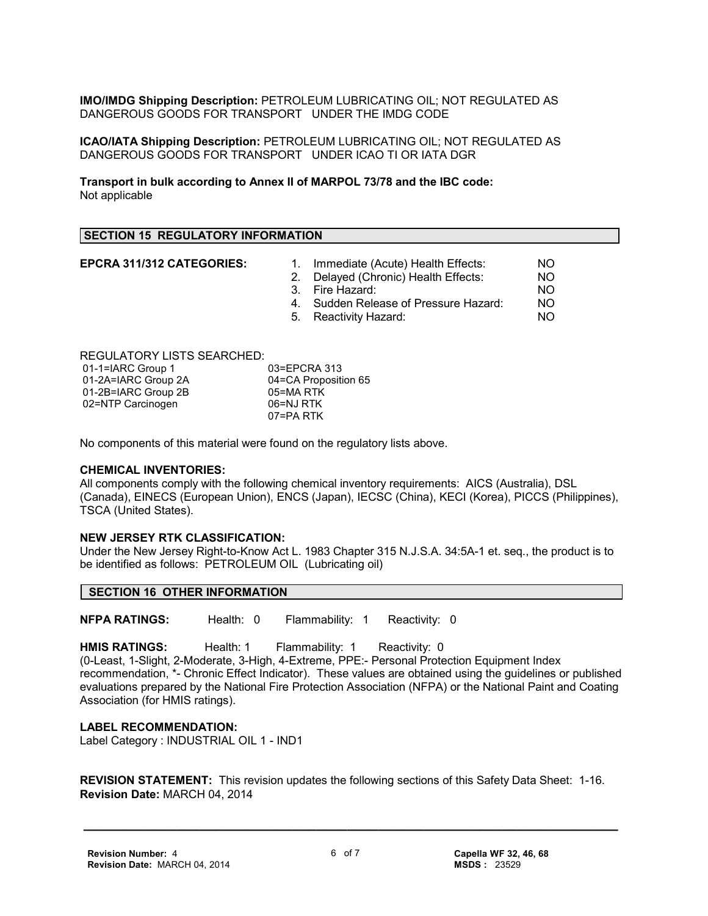**IMO/IMDG Shipping Description:** PETROLEUM LUBRICATING OIL; NOT REGULATED AS DANGEROUS GOODS FOR TRANSPORT UNDER THE IMDG CODE

**ICAO/IATA Shipping Description:** PETROLEUM LUBRICATING OIL; NOT REGULATED AS DANGEROUS GOODS FOR TRANSPORT UNDER ICAO TI OR IATA DGR

**Transport in bulk according to Annex II of MARPOL 73/78 and the IBC code:** Not applicable

#### **SECTION 15 REGULATORY INFORMATION**

- **EPCRA 311/312 CATEGORIES:** 1. Immediate (Acute) Health Effects: NO
	- 2. Delayed (Chronic) Health Effects: NO
	- 3. Fire Hazard: NO
	- 4. Sudden Release of Pressure Hazard: NO
	- 5. Reactivity Hazard: NO

REGULATORY LISTS SEARCHED:

| 01-1=IARC Group 1   | 03=EPCRA 313         |
|---------------------|----------------------|
| 01-2A=IARC Group 2A | 04=CA Proposition 65 |
| 01-2B=IARC Group 2B | 05=MA RTK            |
| 02=NTP Carcinogen   | 06=NJ RTK            |
|                     | 07=PA RTK            |

No components of this material were found on the regulatory lists above.

#### **CHEMICAL INVENTORIES:**

All components comply with the following chemical inventory requirements: AICS (Australia), DSL (Canada), EINECS (European Union), ENCS (Japan), IECSC (China), KECI (Korea), PICCS (Philippines), TSCA (United States).

#### **NEW JERSEY RTK CLASSIFICATION:**

Under the New Jersey Right-to-Know Act L. 1983 Chapter 315 N.J.S.A. 34:5A-1 et. seq., the product is to be identified as follows: PETROLEUM OIL (Lubricating oil)

#### **SECTION 16 OTHER INFORMATION**

**NFPA RATINGS:** Health: 0 Flammability: 1 Reactivity: 0

**HMIS RATINGS:** Health: 1 Flammability: 1 Reactivity: 0 (0-Least, 1-Slight, 2-Moderate, 3-High, 4-Extreme, PPE:- Personal Protection Equipment Index recommendation, \*- Chronic Effect Indicator). These values are obtained using the guidelines or published evaluations prepared by the National Fire Protection Association (NFPA) or the National Paint and Coating Association (for HMIS ratings).

#### **LABEL RECOMMENDATION:**

Label Category : INDUSTRIAL OIL 1 - IND1

**REVISION STATEMENT:** This revision updates the following sections of this Safety Data Sheet: 1-16. **Revision Date:** MARCH 04, 2014